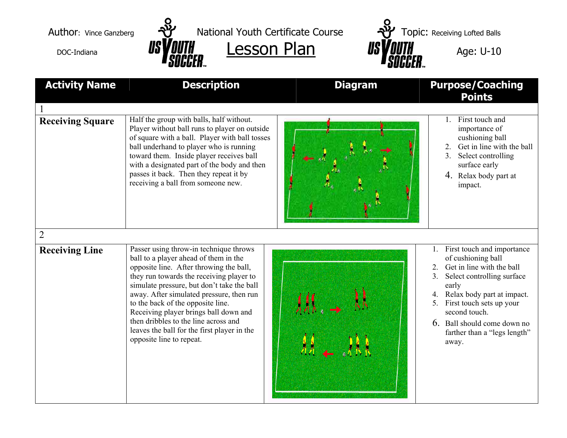



Author: Vince Ganzberg  $\frac{1}{2}$  National Youth Certificate Course  $\frac{1}{2}$  Topic: Receiving Lofted Balls DOC-Indiana **USYOUTH** Lesson Plan **USYOUTH** Age: U-10

| <b>Activity Name</b>                    | <b>Description</b>                                                                                                                                                                                                                                                                                                                                                                                                                                                | <b>Diagram</b> | <b>Purpose/Coaching</b><br><b>Points</b>                                                                                                                                                                                                                                                  |
|-----------------------------------------|-------------------------------------------------------------------------------------------------------------------------------------------------------------------------------------------------------------------------------------------------------------------------------------------------------------------------------------------------------------------------------------------------------------------------------------------------------------------|----------------|-------------------------------------------------------------------------------------------------------------------------------------------------------------------------------------------------------------------------------------------------------------------------------------------|
| <b>Receiving Square</b>                 | Half the group with balls, half without.<br>Player without ball runs to player on outside<br>of square with a ball. Player with ball tosses<br>ball underhand to player who is running<br>toward them. Inside player receives ball<br>with a designated part of the body and then<br>passes it back. Then they repeat it by<br>receiving a ball from someone new.                                                                                                 |                | First touch and<br>$1_{-}$<br>importance of<br>cushioning ball<br>2. Get in line with the ball<br>Select controlling<br>3.<br>surface early<br>4. Relax body part at<br>impact.                                                                                                           |
| $\overline{2}$<br><b>Receiving Line</b> | Passer using throw-in technique throws<br>ball to a player ahead of them in the<br>opposite line. After throwing the ball,<br>they run towards the receiving player to<br>simulate pressure, but don't take the ball<br>away. After simulated pressure, then run<br>to the back of the opposite line.<br>Receiving player brings ball down and<br>then dribbles to the line across and<br>leaves the ball for the first player in the<br>opposite line to repeat. |                | 1. First touch and importance<br>of cushioning ball<br>Get in line with the ball<br>Select controlling surface<br>3.<br>early<br>4. Relax body part at impact.<br>First touch sets up your<br>5.<br>second touch.<br>6. Ball should come down no<br>farther than a "legs length"<br>away. |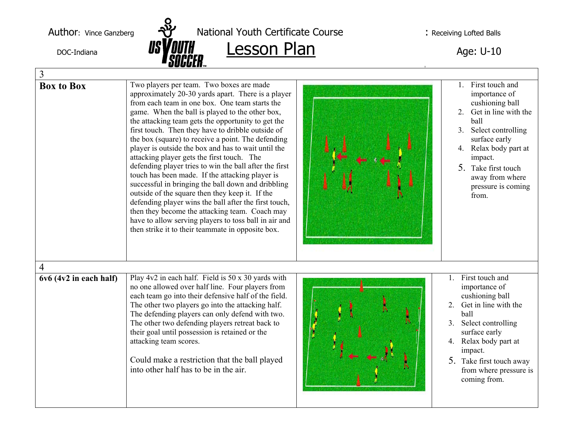

| 3                           |                                                                                                                                                                                                                                                                                                                                                                                                                                                                                                                                                                                                                                                                                                                                                                                                                                                                                                                          |  |                                                                                                                                                                                                                                                              |  |
|-----------------------------|--------------------------------------------------------------------------------------------------------------------------------------------------------------------------------------------------------------------------------------------------------------------------------------------------------------------------------------------------------------------------------------------------------------------------------------------------------------------------------------------------------------------------------------------------------------------------------------------------------------------------------------------------------------------------------------------------------------------------------------------------------------------------------------------------------------------------------------------------------------------------------------------------------------------------|--|--------------------------------------------------------------------------------------------------------------------------------------------------------------------------------------------------------------------------------------------------------------|--|
| <b>Box to Box</b>           | Two players per team. Two boxes are made<br>approximately 20-30 yards apart. There is a player<br>from each team in one box. One team starts the<br>game. When the ball is played to the other box,<br>the attacking team gets the opportunity to get the<br>first touch. Then they have to dribble outside of<br>the box (square) to receive a point. The defending<br>player is outside the box and has to wait until the<br>attacking player gets the first touch. The<br>defending player tries to win the ball after the first<br>touch has been made. If the attacking player is<br>successful in bringing the ball down and dribbling<br>outside of the square then they keep it. If the<br>defending player wins the ball after the first touch,<br>then they become the attacking team. Coach may<br>have to allow serving players to toss ball in air and<br>then strike it to their teammate in opposite box. |  | 1. First touch and<br>importance of<br>cushioning ball<br>2. Get in line with the<br>ball<br>3. Select controlling<br>surface early<br>4. Relax body part at<br>impact.<br>$5_{\cdot}$<br>Take first touch<br>away from where<br>pressure is coming<br>from. |  |
| $\overline{4}$              |                                                                                                                                                                                                                                                                                                                                                                                                                                                                                                                                                                                                                                                                                                                                                                                                                                                                                                                          |  |                                                                                                                                                                                                                                                              |  |
| $6v6$ (4 $v2$ in each half) | Play 4v2 in each half. Field is 50 x 30 yards with<br>no one allowed over half line. Four players from<br>each team go into their defensive half of the field.<br>The other two players go into the attacking half.<br>The defending players can only defend with two.<br>The other two defending players retreat back to<br>their goal until possession is retained or the<br>attacking team scores.<br>Could make a restriction that the ball played<br>into other half has to be in the air.                                                                                                                                                                                                                                                                                                                                                                                                                          |  | 1. First touch and<br>importance of<br>cushioning ball<br>Get in line with the<br>2.<br>ball<br>Select controlling<br>3.<br>surface early<br>Relax body part at<br>4.<br>impact.<br>5. Take first touch away<br>from where pressure is<br>coming from.       |  |